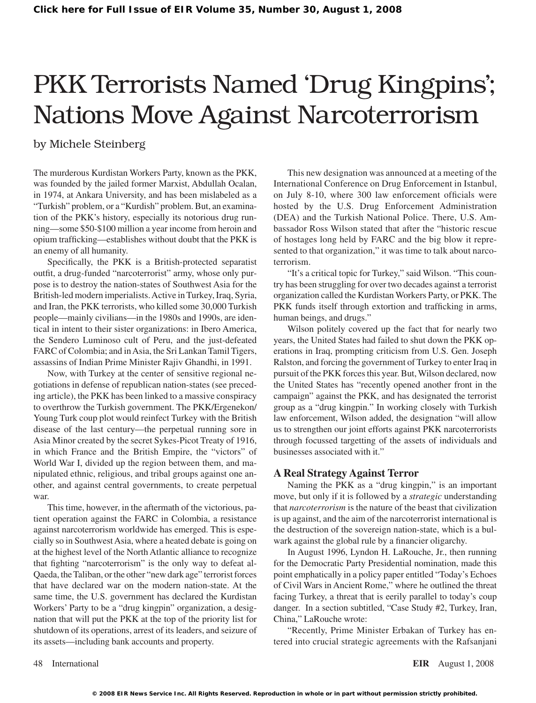# PKK Terrorists Named 'Drug Kingpins'; Nations Move Against Narcoterrorism

by Michele Steinberg

The murderous Kurdistan Workers Party, known as the PKK, was founded by the jailed former Marxist, Abdullah Ocalan, in 1974, at Ankara University, and has been mislabeled as a "Turkish" problem, or a "Kurdish" problem. But, an examination of the PKK's history, especially its notorious drug running—some \$50-\$100 million a year income from heroin and opium trafficking—establishes without doubt that the PKK is an enemy of all humanity.

Specifically, the PKK is a British-protected separatist outfit, a drug-funded "narcoterrorist" army, whose only purpose is to destroy the nation-states of Southwest Asia for the British-led modern imperialists.Active inTurkey,Iraq, Syria, and Iran, the PKK terrorists, who killed some 30,000 Turkish people—mainly civilians—in the 1980s and 1990s, are identical in intent to their sister organizations: in Ibero America, the Sendero Luminoso cult of Peru, and the just-defeated FARC of Colombia; and in Asia, the Sri Lankan Tamil Tigers, assassins of Indian Prime Minister Rajiv Ghandhi, in 1991.

Now, with Turkey at the center of sensitive regional negotiations in defense of republican nation-states (see preceding article), the PKK has been linked to a massive conspiracy to overthrow the Turkish government. The PKK/Ergenekon/ Young Turk coup plot would reinfect Turkey with the British disease of the last century—the perpetual running sore in Asia Minor created by the secret Sykes-Picot Treaty of 1916, in which France and the British Empire, the "victors" of World War I, divided up the region between them, and manipulated ethnic, religious, and tribal groups against one another, and against central governments, to create perpetual war.

This time, however, in the aftermath of the victorious, patient operation against the FARC in Colombia, a resistance against narcoterrorism worldwide has emerged. This is especially so in SouthwestAsia, where a heated debate is going on at the highest level of the North Atlantic alliance to recognize that fighting "narcoterrorism" is the only way to defeat al-Qaeda, the Taliban, or the other "new dark age" terrorist forces that have declared war on the modern nation-state. At the same time, the U.S. government has declared the Kurdistan Workers' Party to be a "drug kingpin" organization, a designation that will put the PKK at the top of the priority list for shutdown of its operations, arrest of its leaders, and seizure of its assets—including bank accounts and property.

This new designation was announced at a meeting of the International Conference on Drug Enforcement in Istanbul, on July 8-10, where 300 law enforcement officials were hosted by the U.S. Drug Enforcement Administration (DEA) and the Turkish National Police. There, U.S. Ambassador Ross Wilson stated that after the "historic rescue of hostages long held by FARC and the big blow it represented to that organization," it was time to talk about narcoterrorism.

"It's a critical topic for Turkey," said Wilson. "This country has been struggling for over two decades against a terrorist organization called the Kurdistan Workers Party, or PKK. The PKK funds itself through extortion and trafficking in arms, human beings, and drugs."

Wilson politely covered up the fact that for nearly two years, the United States had failed to shut down the PKK operations in Iraq, prompting criticism from U.S. Gen. Joseph Ralston, and forcing the government of Turkey to enter Iraq in pursuit of the PKK forces this year. But, Wilson declared, now the United States has "recently opened another front in the campaign" against the PKK, and has designated the terrorist group as a "drug kingpin." In working closely with Turkish law enforcement, Wilson added, the designation "will allow us to strengthen our joint efforts against PKK narcoterrorists through focussed targetting of the assets of individuals and businesses associated with it."

#### **A Real Strategy Against Terror**

Naming the PKK as a "drug kingpin," is an important move, but only if it is followed by a *strategic* understanding that *narcoterrorism* is the nature of the beast that civilization is up against, and the aim of the narcoterrorist international is the destruction of the sovereign nation-state, which is a bulwark against the global rule by a financier oligarchy.

In August 1996, Lyndon H. LaRouche, Jr., then running for the Democratic Party Presidential nomination, made this point emphatically in a policy paper entitled "Today's Echoes of Civil Wars in Ancient Rome," where he outlined the threat facing Turkey, a threat that is eerily parallel to today's coup danger. In a section subtitled, "Case Study #2, Turkey, Iran, China," LaRouche wrote:

"Recently, Prime Minister Erbakan of Turkey has entered into crucial strategic agreements with the Rafsanjani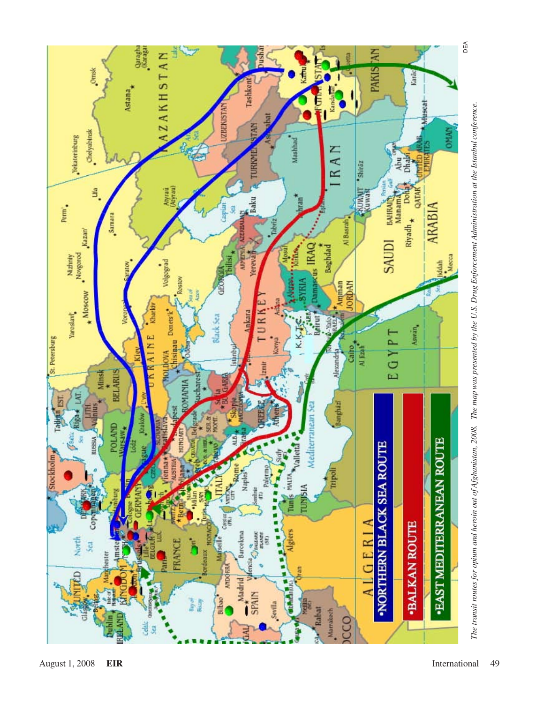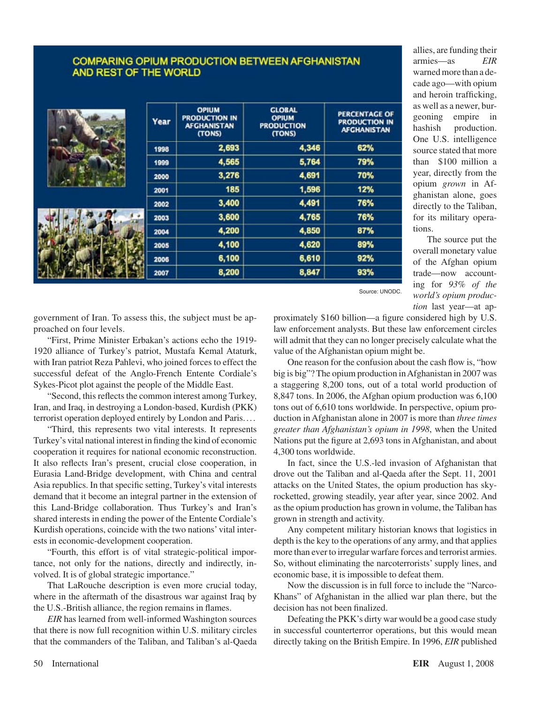### **COMPARING OPIUM PRODUCTION BETWEEN AFGHANISTAN** AND REST OF THE WORLD

| Year | <b>OPIUM</b><br><b>PRODUCTION IN</b><br><b>AFGHANISTAN</b><br>(TONS) | <b>GLOBAL</b><br><b>OPIUM</b><br><b>PRODUCTION</b><br>(TONS) | <b>PERCENTAGE OF</b><br><b>PRODUCTION IN</b><br><b>AFCHANISTAN</b> |
|------|----------------------------------------------------------------------|--------------------------------------------------------------|--------------------------------------------------------------------|
| 1998 | 2,693                                                                | 4,346                                                        | 62%                                                                |
| 1999 | 4,565                                                                | 5,764                                                        | 79%                                                                |
| 2000 | 3,276                                                                | 4,691                                                        | 70%                                                                |
| 2001 | 185                                                                  | 1,596                                                        | 12%                                                                |
| 2002 | 3,400                                                                | 4,491                                                        | 76%                                                                |
| 2003 | 3,600                                                                | 4,765                                                        | 76%                                                                |
| 2004 | 4,200                                                                | 4,850                                                        | 87%                                                                |
| 2005 | 4,100                                                                | 4,620                                                        | 89%                                                                |
| 2006 | 6,100                                                                | 6,610                                                        | 92%                                                                |
| 2007 | 8,200                                                                | 8,847                                                        | 93%                                                                |

allies, are funding their armies—as *EIR* warned more than a decade ago—with opium and heroin trafficking, as well as a newer, burgeoning empire in hashish production. One U.S. intelligence source stated that more than \$100 million a year, directly from the opium *grown* in Afghanistan alone, goes directly to the Taliban, for its military operations.

The source put the overall monetary value of the Afghan opium trade—now accounting for *93% of the world's opium production* last year—at ap-

Source: UNODC.

government of Iran. To assess this, the subject must be approached on four levels.

"First, Prime Minister Erbakan's actions echo the 1919- 1920 alliance of Turkey's patriot, Mustafa Kemal Ataturk, with Iran patriot Reza Pahlevi, who joined forces to effect the successful defeat of the Anglo-French Entente Cordiale's Sykes-Picot plot against the people of the Middle East.

"Second, this reflects the common interest among Turkey, Iran, and Iraq, in destroying a London-based, Kurdish (PKK) terrorist operation deployed entirely by London and Paris....

"Third, this represents two vital interests. It represents Turkey's vital national interest in finding the kind of economic cooperation it requires for national economic reconstruction. It also reflects Iran's present, crucial close cooperation, in Eurasia Land-Bridge development, with China and central Asia republics. In that specific setting, Turkey's vital interests demand that it become an integral partner in the extension of this Land-Bridge collaboration. Thus Turkey's and Iran's shared interests in ending the power of the Entente Cordiale's Kurdish operations, coincide with the two nations' vital interests in economic-development cooperation.

"Fourth, this effort is of vital strategic-political importance, not only for the nations, directly and indirectly, involved. It is of global strategic importance."

That LaRouche description is even more crucial today, where in the aftermath of the disastrous war against Iraq by the U.S.-British alliance, the region remains in flames.

*EIR* has learned from well-informed Washington sources that there is now full recognition within U.S. military circles that the commanders of the Taliban, and Taliban's al-Qaeda proximately \$160 billion—a figure considered high by U.S. law enforcement analysts. But these law enforcement circles will admit that they can no longer precisely calculate what the value of the Afghanistan opium might be.

One reason for the confusion about the cash flow is, "how big is big"? The opium production in Afghanistan in 2007 was a staggering 8,200 tons, out of a total world production of 8,847 tons. In 2006, the Afghan opium production was 6,100 tons out of 6,610 tons worldwide. In perspective, opium production in Afghanistan alone in 2007 is more than *three times greater than Afghanistan's opium in 1998*, when the United Nations put the figure at 2,693 tons in Afghanistan, and about 4,300 tons worldwide.

In fact, since the U.S.-led invasion of Afghanistan that drove out the Taliban and al-Qaeda after the Sept. 11, 2001 attacks on the United States, the opium production has skyrocketted, growing steadily, year after year, since 2002. And asthe opium production has grown in volume, the Taliban has grown in strength and activity.

Any competent military historian knows that logistics in depth is the key to the operations of any army, and that applies more than ever to irregular warfare forces and terrorist armies. So, without eliminating the narcoterrorists'supply lines, and economic base, it is impossible to defeat them.

Now the discussion is in full force to include the "Narco-Khans" of Afghanistan in the allied war plan there, but the decision has not been finalized.

Defeating the PKK's dirty war would be a good case study in successful counterterror operations, but this would mean directly taking on the British Empire. In 1996, *EIR* published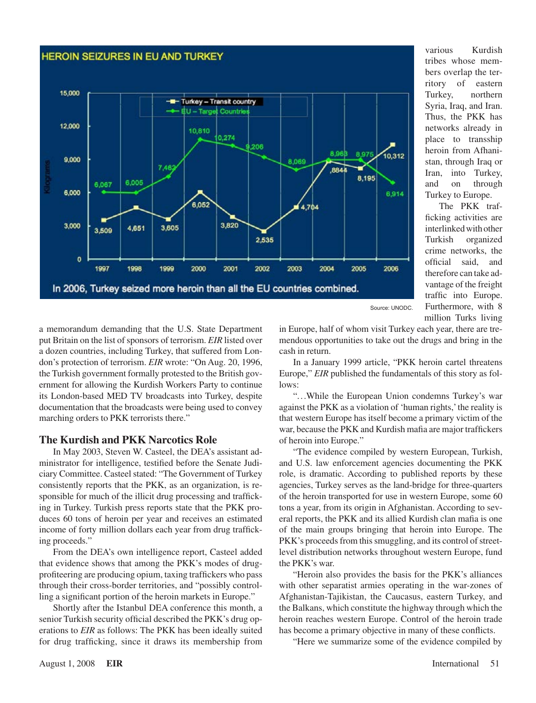### **HEROIN SEIZURES IN EU AND TURKEY**



various Kurdish tribes whose members overlap the territory of eastern Turkey, northern Syria, Iraq, and Iran. Thus, the PKK has networks already in place to transship heroin from Afhanistan, through Iraq or Iran, into Turkey, and on through Turkey to Europe.

The PKK trafficking activities are interlinkedwithother Turkish organized crime networks, the official said, and therefore can take advantage of the freight traffic into Europe. Furthermore, with 8 million Turks living

a memorandum demanding that the U.S. State Department put Britain on the list of sponsors of terrorism. *EIR* listed over a dozen countries, including Turkey, that suffered from London's protection of terrorism. *EIR* wrote: "On Aug. 20, 1996, the Turkish government formally protested to the British government for allowing the Kurdish Workers Party to continue its London-based MED TV broadcasts into Turkey, despite documentation that the broadcasts were being used to convey marching orders to PKK terrorists there."

#### **The Kurdish and PKK Narcotics Role**

In May 2003, Steven W. Casteel, the DEA's assistant administrator for intelligence, testified before the Senate Judiciary Committee. Casteel stated: "The Government of Turkey consistently reports that the PKK, as an organization, is responsible for much of the illicit drug processing and trafficking in Turkey. Turkish press reports state that the PKK produces 60 tons of heroin per year and receives an estimated income of forty million dollars each year from drug trafficking proceeds."

From the DEA's own intelligence report, Casteel added that evidence shows that among the PKK's modes of drugprofiteering are producing opium, taxing traffickers who pass through their cross-border territories, and "possibly controlling a significant portion of the heroin markets in Europe."

Shortly after the Istanbul DEA conference this month, a senior Turkish security official described the PKK's drug operations to *EIR* as follows: The PKK has been ideally suited for drug trafficking, since it draws its membership from in Europe, half of whom visit Turkey each year, there are tremendous opportunities to take out the drugs and bring in the cash in return.

In a January 1999 article, "PKK heroin cartel threatens Europe," *EIR* published the fundamentals of this story as follows:

"...While the European Union condemns Turkey's war against the PKK as a violation of 'human rights,'the reality is that western Europe has itself become a primary victim of the war, because the PKK and Kurdish mafia are major traffickers of heroin into Europe."

"The evidence compiled by western European, Turkish, and U.S. law enforcement agencies documenting the PKK role, is dramatic. According to published reports by these agencies, Turkey serves as the land-bridge for three-quarters of the heroin transported for use in western Europe, some 60 tons a year, from its origin in Afghanistan. According to several reports, the PKK and its allied Kurdish clan mafia is one of the main groups bringing that heroin into Europe. The PKK's proceeds from this smuggling, and its control of streetlevel distribution networks throughout western Europe, fund the PKK's war.

"Heroin also provides the basis for the PKK's alliances with other separatist armies operating in the war-zones of Afghanistan-Tajikistan, the Caucasus, eastern Turkey, and the Balkans, which constitute the highway through which the heroin reaches western Europe. Control of the heroin trade has become a primary objective in many of these conflicts.

"Here we summarize some of the evidence compiled by